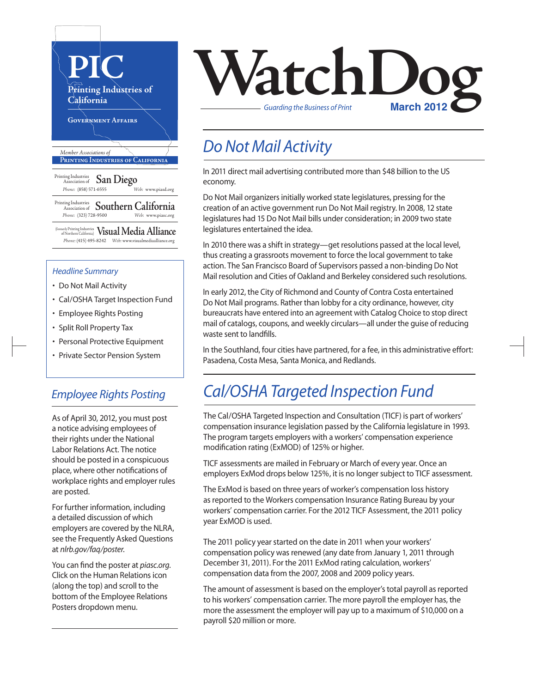

#### *Headline Summary*

- Do Not Mail Activity
- Cal/OSHA Target Inspection Fund
- Employee Rights Posting
- Split Roll Property Tax
- Personal Protective Equipment
- Private Sector Pension System

#### *Employee Rights Posting*

As of April 30, 2012, you must post a notice advising employees of their rights under the National Labor Relations Act. The notice should be posted in a conspicuous place, where other notifications of workplace rights and employer rules are posted.

For further information, including a detailed discussion of which employers are covered by the NLRA, see the Frequently Asked Questions at *nlrb.gov/faq/poster*.

You can find the poster at *piasc.org*. Click on the Human Relations icon (along the top) and scroll to the bottom of the Employee Relations Posters dropdown menu.



#### *Do Not Mail Activity*

In 2011 direct mail advertising contributed more than \$48 billion to the US economy.

Do Not Mail organizers initially worked state legislatures, pressing for the creation of an active government run Do Not Mail registry. In 2008, 12 state legislatures had 15 Do Not Mail bills under consideration; in 2009 two state legislatures entertained the idea.

In 2010 there was a shift in strategy—get resolutions passed at the local level, thus creating a grassroots movement to force the local government to take action. The San Francisco Board of Supervisors passed a non-binding Do Not Mail resolution and Cities of Oakland and Berkeley considered such resolutions.

In early 2012, the City of Richmond and County of Contra Costa entertained Do Not Mail programs. Rather than lobby for a city ordinance, however, city bureaucrats have entered into an agreement with Catalog Choice to stop direct mail of catalogs, coupons, and weekly circulars—all under the guise of reducing waste sent to landfills.

In the Southland, four cities have partnered, for a fee, in this administrative effort: Pasadena, Costa Mesa, Santa Monica, and Redlands.

#### *Cal/OSHA Targeted Inspection Fund*

The Cal/OSHA Targeted Inspection and Consultation (TICF) is part of workers' compensation insurance legislation passed by the California legislature in 1993. The program targets employers with a workers' compensation experience modification rating (ExMOD) of 125% or higher.

TICF assessments are mailed in February or March of every year. Once an employers ExMod drops below 125%, it is no longersubject to TICF assessment.

The ExMod is based on three years of worker's compensation loss history as reported to the Workers compensation Insurance Rating Bureau by your workers' compensation carrier. For the 2012 TICF Assessment, the 2011 policy year ExMOD is used.

The 2011 policy year started on the date in 2011 when your workers' compensation policy was renewed (any date from January 1, 2011 through December 31, 2011). For the 2011 ExMod rating calculation, workers' compensation data from the 2007, 2008 and 2009 policy years.

The amount of assessment is based on the employer's total payroll as reported to his workers' compensation carrier. The more payroll the employer has, the more the assessment the employer will pay up to a maximum of \$10,000 on a payroll \$20 million or more.